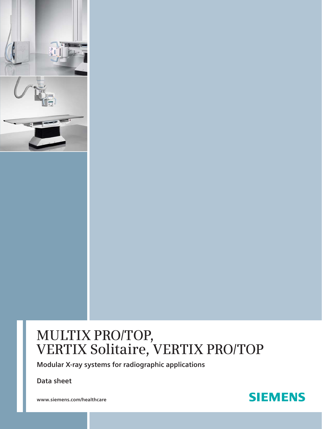

**Modular X-ray systems for radiographic applications** 

**Data sheet**

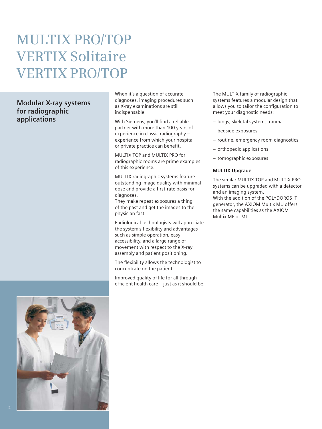### **Modular X-ray systems for radiographic applications**



When it's a question of accurate diagnoses, imaging procedures such as X-ray examinations are still indispensable.

With Siemens, you'll find a reliable partner with more than 100 years of experience in classic radiography – experience from which your hospital or private practice can benefit.

MULTIX TOP and MULTIX PRO for radiographic rooms are prime examples of this experience.

MULTIX radiographic systems feature outstanding image quality with minimal dose and provide a first-rate basis for diagnoses.

They make repeat exposures a thing of the past and get the images to the physician fast.

Radiological technologists will appreciate the system's flexibility and advantages such as simple operation, easy accessibility, and a large range of movement with respect to the X-ray assembly and patient positioning.

The flexibility allows the technologist to concentrate on the patient.

Improved quality of life for all through efficient health care – just as it should be. The MULTIX family of radiographic systems features a modular design that allows you to tailor the configuration to meet your diagnostic needs:

- lungs, skeletal system, trauma
- bedside exposures
- routine, emergency room diagnostics
- orthopedic applications
- tomographic exposures

### **MULTIX Upgrade**

The similar MULTIX TOP and MULTIX PRO systems can be upgraded with a detector and an imaging system. With the addition of the POLYDOROS IT generator, the AXIOM Multix MU offers the same capabilities as the AXIOM Multix MP or MT.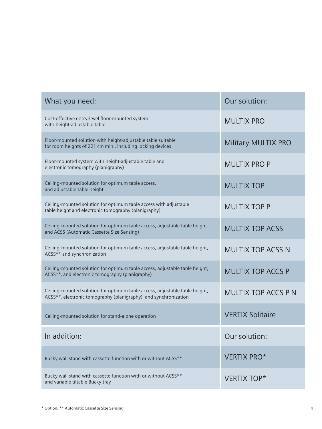| What you need:                                                                                                                                  | Our solution:             |
|-------------------------------------------------------------------------------------------------------------------------------------------------|---------------------------|
| Cost-effective entry-level floor-mounted system<br>with height-adjustable table                                                                 | <b>MULTIX PRO</b>         |
| Floor-mounted solution with height-adjustable table suitable<br>for room heights of 221 cm min., including locking devices                      | Military MULTIX PRO       |
| Floor-mounted system with height-adjustable table and<br>electronic tomography (planigraphy)                                                    | <b>MULTIX PRO P</b>       |
| Ceiling-mounted solution for optimum table access,<br>and adjustable table height                                                               | <b>MULTIX TOP</b>         |
| Ceiling-mounted solution for optimum table access with adjustable<br>table height and electronic tomography (planigraphy)                       | <b>MULTIX TOP P</b>       |
| Ceiling-mounted solution for optimum table access, adjustable table height<br>and ACSS (Automatic Cassette Size Sensing)                        | <b>MULTIX TOP ACSS</b>    |
| Ceiling-mounted solution for optimum table access, adjustable table height,<br>ACSS** and synchronization                                       | <b>MULTIX TOP ACSS N</b>  |
| Ceiling-mounted solution for optimum table access, adjustable table height,<br>ACSS**, and electronic tomography (planigraphy)                  | <b>MULTIX TOP ACCS P</b>  |
| Ceiling-mounted solution for optimum table access, adjustable table height,<br>ACSS**, electronic tomography (planigraphy), and synchronization | <b>MULTIX TOP ACCS PN</b> |
| Ceiling-mounted solution for stand-alone operation                                                                                              | <b>VERTIX Solitaire</b>   |
| In addition:                                                                                                                                    | Our solution:             |
| Bucky wall stand with cassette function with or without ACSS**                                                                                  | <b>VERTIX PRO*</b>        |
| Bucky wall stand with cassette function with or without ACSS**<br>and variable tiltable Bucky tray                                              | <b>VERTIX TOP*</b>        |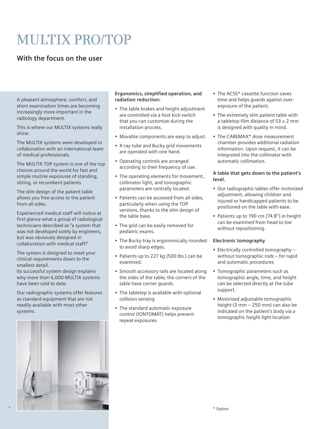# MULTIX PRO/TOP

### **With the focus on the user**

A pleasant atmosphere, comfort, and short examination times are becoming increasingly more important in the radiology department.

This is where our MULTIX systems really shine.

The MULTIX systems were developed in collaboration with an international team of medical professionals.

The MULTIX TOP system is one of the top choices around the world for fast and simple routine exposures of standing, sitting, or recumbent patients.

The slim design of the patient table allows you free access to the patient from all sides.

Experienced medical staff will notice at first glance what a group of radiological technicians described as "a system that was not developed solely by engineers, but was obviously designed in collaboration with medical staff!"

The system is designed to meet your clinical requirements down to the smallest detail.

Its successful system design explains why more than 6,000 MULTIX systems have been sold to date.

Our radiographic systems offer features as standard equipment that are not readily available with most other systems.



### **Ergonomics, simplified operation, and radiation reduction:**

- The table brakes and height adjustment are controlled via a foot kick-switch that you can customize during the installation process.
- Movable components are easy to adjust.
- X-ray tube and Bucky grid movements are operated with one hand.
- Operating controls are arranged according to their frequency of use.
- The operating elements for movement, collimator light, and tomographic parameters are centrally located.
- Patients can be accessed from all sides, particularly when using the TOP versions, thanks to the slim design of the table base.
- The grid can be easily removed for pediatric exams.
- The Bucky tray is ergonomically rounded to avoid sharp edges.
- Patients up to 227 kg (500 lbs.) can be examined.
- Smooth accessory rails are located along the sides of the table; the corners of the table have corner guards.
- The tabletop is available with optional collision sensing
- The standard automatic exposure control (IONTOMAT) helps prevent repeat exposures.
- The ACSS\* cassette function saves time and helps guards against overexposure of the patient.
- The extremely slim patient table with a tabletop-film distance of  $53 \pm 2$  mm is designed with quality in mind.
- The CAREMAX\* dose measurement chamber provides additional radiation information. Upon request, it can be integrated into the collimator with automatic collimation.

#### **A table that gets down to the patient's level.**

- Our radiographic tables offer motorized adjustment, allowing children and injured or handicapped patients to be positioned on the table with ease.
- Patients up to 190 cm (74.8") in height can be examined from head to toe without repositioning.

### **Electronic tomography**

- Electrically controlled tomography without tomographic rods – for rapid and automatic procedures
- Tomographic parameters such as tomographic angle, time, and height can be selected directly at the tube support.
- Motorized adjustable tomographic height (3 mm – 250 mm) can also be indicated on the patient's body via a tomographic height light localizer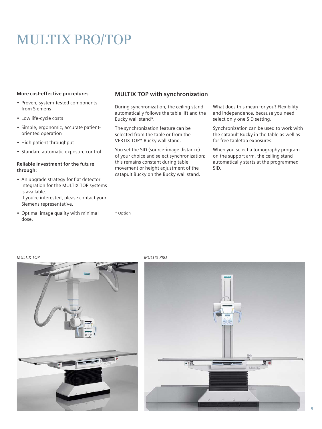# MULTIX PRO/TOP

#### **More cost-effective procedures**

- Proven, system-tested components from Siemens
- Low life-cycle costs
- Simple, ergonomic, accurate patientoriented operation
- High patient throughput
- Standard automatic exposure control

### **Reliable investment for the future through:**

- An upgrade strategy for flat detector integration for the MULTIX TOP systems is available. If you're interested, please contact your Siemens representative.
- Optimal image quality with minimal dose.

### **MULTIX TOP with synchronization**

During synchronization, the ceiling stand automatically follows the table lift and the Bucky wall stand\*.

The synchronization feature can be selected from the table or from the VERTIX TOP\* Bucky wall stand.

You set the SID (source-image distance) of your choice and select synchronization; this remains constant during table movement or height adjustment of the catapult Bucky on the Bucky wall stand.

What does this mean for you? Flexibility and independence, because you need select only one SID setting.

Synchronization can be used to work with the catapult Bucky in the table as well as for free tabletop exposures.

When you select a tomography program on the support arm, the ceiling stand automatically starts at the programmed SID.

#### *MULTIX TOP*



*MULTIX PRO*

\* Option

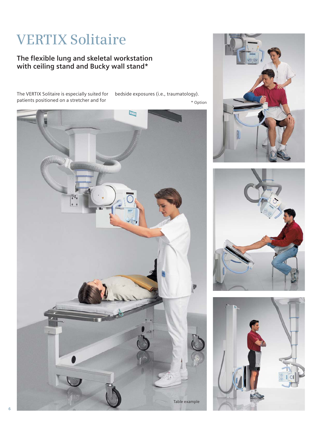# VERTIX Solitaire

### **The flexible lung and skeletal workstation with ceiling stand and Bucky wall stand\***

The VERTIX Solitaire is especially suited for patients positioned on a stretcher and for

bedside exposures (i.e., traumatology). \* Option







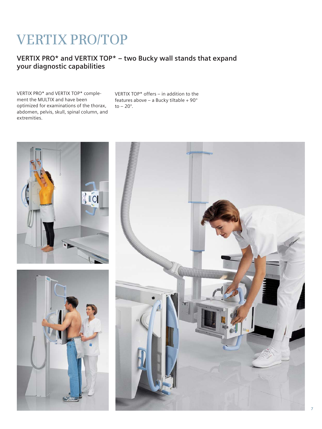# VERTIX PRO/TOP

### **VERTIX PRO\* and VERTIX TOP\* – two Bucky wall stands that expand your diagnostic capabilities**

VERTIX PRO\* and VERTIX TOP\* complement the MULTIX and have been optimized for examinations of the thorax, abdomen, pelvis, skull, spinal column, and extremities.

VERTIX TOP\* offers – in addition to the features above – a Bucky tiltable +  $90^\circ$ to  $-20^\circ$ .

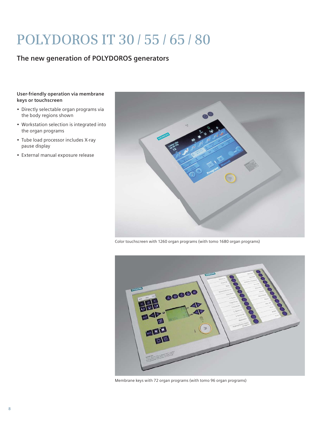# POLYDOROS IT 30 / 55 / 65 / 80

### **The new generation of POLYDOROS generators**

#### **User-friendly operation via membrane keys or touchscreen**

- Directly selectable organ programs via the body regions shown
- Workstation selection is integrated into the organ programs
- Tube load processor includes X-ray pause display
- External manual exposure release



Color touchscreen with 1260 organ programs (with tomo 1680 organ programs)



Membrane keys with 72 organ programs (with tomo 96 organ programs)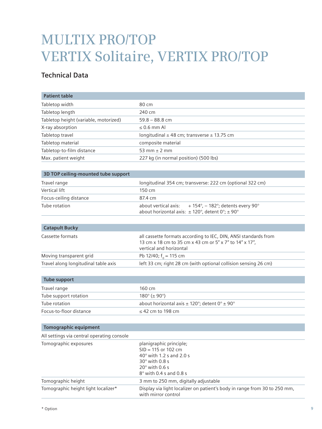| <b>Patient table</b>                       |                                                                                                                                                                  |
|--------------------------------------------|------------------------------------------------------------------------------------------------------------------------------------------------------------------|
| Tabletop width                             | 80 cm                                                                                                                                                            |
| Tabletop length                            | 240 cm                                                                                                                                                           |
| Tabletop height (variable, motorized)      | $59.8 - 88.8$ cm                                                                                                                                                 |
| X-ray absorption                           | $\leq$ 0.6 mm Al                                                                                                                                                 |
| Tabletop travel                            | longitudinal $\pm$ 48 cm; transverse $\pm$ 13.75 cm                                                                                                              |
| Tabletop material                          | composite material                                                                                                                                               |
| Tabletop-to-film distance                  | 53 mm $\pm$ 2 mm                                                                                                                                                 |
| Max. patient weight                        | 227 kg (in normal position) (500 lbs)                                                                                                                            |
|                                            |                                                                                                                                                                  |
| 3D TOP ceiling-mounted tube support        |                                                                                                                                                                  |
| Travel range                               | longitudinal 354 cm; transverse: 222 cm (optional 322 cm)                                                                                                        |
| Vertical lift                              | 150 cm                                                                                                                                                           |
| Focus-ceiling distance                     | 87.4 cm                                                                                                                                                          |
| Tube rotation                              | about vertical axis:<br>+ 154°, - 182°; detents every 90°<br>about horizontal axis: $\pm$ 120°, detent 0°; $\pm$ 90°                                             |
| <b>Catapult Bucky</b>                      |                                                                                                                                                                  |
|                                            |                                                                                                                                                                  |
| Cassette formats                           | all cassette formats according to IEC, DIN, ANSI standards from<br>13 cm x 18 cm to 35 cm x 43 cm or 5" x 7" to 14" x 17",<br>vertical and horizontal            |
| Moving transparent grid                    | Pb 12/40; $f_0 = 115$ cm                                                                                                                                         |
| Travel along longitudinal table axis       | left 33 cm; right 28 cm (with optional collision sensing 26 cm)                                                                                                  |
| <b>Tube support</b>                        |                                                                                                                                                                  |
| Travel range                               | 160 cm                                                                                                                                                           |
| Tube support rotation                      | $180^{\circ}$ (± 90 $^{\circ}$ )                                                                                                                                 |
| Tube rotation                              | about horizontal axis $\pm$ 120°; detent 0° $\pm$ 90°                                                                                                            |
| Focus-to-floor distance                    | $\leq$ 42 cm to 198 cm                                                                                                                                           |
|                                            |                                                                                                                                                                  |
| Tomographic equipment                      |                                                                                                                                                                  |
| All settings via central operating console |                                                                                                                                                                  |
| Tomographic exposures                      | planigraphic principle;<br>$SID = 115$ or 102 cm<br>$40^\circ$ with 1.2 s and 2.0 s<br>$30^\circ$ with 0.8 s<br>$20^\circ$ with 0.6 s<br>8° with 0.4 s and 0.8 s |
| Tomographic height                         | 3 mm to 250 mm, digitally adjustable                                                                                                                             |
| Tomographic height light localizer*        | Display via light localizer on patient's body in range from 30 to 250 mm,<br>with mirror control                                                                 |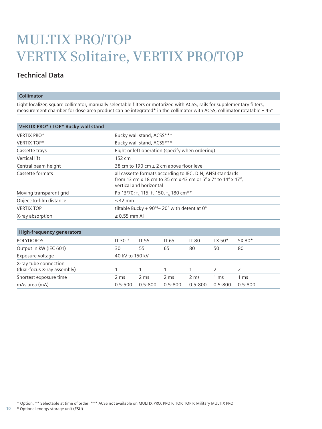### **Technical Data**

#### **Collimator**

Light localizer, square collimator, manually selectable filters or motorized with ACSS, rails for supplementary filters, measurement chamber for dose area product can be integrated\* in the collimator with ACSS, collimator rotatable  $\pm 45^{\circ}$ 

| VERTIX PRO* / TOP* Bucky wall stand                  |                                                                                                                                                       |                                              |                                                                                       |              |                 |                 |  |
|------------------------------------------------------|-------------------------------------------------------------------------------------------------------------------------------------------------------|----------------------------------------------|---------------------------------------------------------------------------------------|--------------|-----------------|-----------------|--|
| VERTIX PRO*                                          |                                                                                                                                                       | Bucky wall stand, ACSS***                    |                                                                                       |              |                 |                 |  |
| <b>VERTIX TOP*</b>                                   |                                                                                                                                                       | Bucky wall stand, ACSS***                    |                                                                                       |              |                 |                 |  |
| Cassette trays                                       | Right or left operation (specify when ordering)                                                                                                       |                                              |                                                                                       |              |                 |                 |  |
| Vertical lift                                        | 152 cm                                                                                                                                                |                                              |                                                                                       |              |                 |                 |  |
| Central beam height                                  |                                                                                                                                                       | 38 cm to 190 cm $\pm$ 2 cm above floor level |                                                                                       |              |                 |                 |  |
| Cassette formats                                     | all cassette formats according to IEC, DIN, ANSI standards<br>from 13 cm x 18 cm to 35 cm x 43 cm or 5" x 7" to 14" x 17",<br>vertical and horizontal |                                              |                                                                                       |              |                 |                 |  |
| Moving transparent grid                              |                                                                                                                                                       |                                              | Pb 13/70; f <sub>0</sub> 115, f <sub>0</sub> 150, f <sub>0</sub> 180 cm <sup>**</sup> |              |                 |                 |  |
| Object-to-film distance                              | $\leq$ 42 mm                                                                                                                                          |                                              |                                                                                       |              |                 |                 |  |
| <b>VERTIX TOP</b>                                    | tiltable Bucky + 90 $\degree$ /- 20 $\degree$ with detent at 0 $\degree$                                                                              |                                              |                                                                                       |              |                 |                 |  |
| X-ray absorption                                     | $\leq$ 0.55 mm Al                                                                                                                                     |                                              |                                                                                       |              |                 |                 |  |
| <b>High-frequency generators</b>                     |                                                                                                                                                       |                                              |                                                                                       |              |                 |                 |  |
| <b>POLYDOROS</b>                                     | IT 30 <sup>1</sup>                                                                                                                                    | <b>IT 55</b>                                 | IT 65                                                                                 | <b>IT 80</b> | $LX$ 50 $*$     | SX 80*          |  |
| Output in kW (IEC 601)                               | 30                                                                                                                                                    | 55                                           | 65                                                                                    | 80           | 50              | 80              |  |
| Exposure voltage                                     | 40 kV to 150 kV                                                                                                                                       |                                              |                                                                                       |              |                 |                 |  |
| X-ray tube connection<br>(dual-focus X-ray assembly) | 1                                                                                                                                                     | 1                                            | 1                                                                                     | 1            | 2               | 2               |  |
| Shortest exposure time                               | 2 ms                                                                                                                                                  | 2 ms                                         | 2 ms                                                                                  | 2 ms         | 1 <sub>ms</sub> | 1 <sub>ms</sub> |  |
| mAs area (mA)                                        | $0.5 - 500$                                                                                                                                           | $0.5 - 800$                                  | $0.5 - 800$                                                                           | $0.5 - 800$  | $0.5 - 800$     | $0.5 - 800$     |  |

**10** 1) Optional energy storage unit (ESU)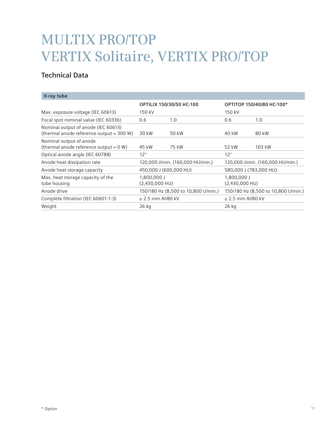| <b>OPTILIX 150/30/50 HC-100</b> |       |                                                                         | OPTITOP 150/40/80 HC-100*           |
|---------------------------------|-------|-------------------------------------------------------------------------|-------------------------------------|
| 150 kV                          |       | 150 kV                                                                  |                                     |
| 0.6                             | 1.0   | 0.6                                                                     | 1.0                                 |
| 30 kW                           | 50 kW | 40 kW                                                                   | 80 kW                               |
| 45 kW                           | 75 kW | 52 kW                                                                   | 103 kW                              |
| $12^{\circ}$                    |       | $12^{\circ}$                                                            |                                     |
|                                 |       |                                                                         | 120,000 J/min. (160,000 HU/min.)    |
| 450,000 J (600,000 HU)          |       | 580,000 J (783,000 HU)                                                  |                                     |
| 1,800,000 J<br>$(2,430,000$ HU) |       | 1,800,000 J<br>$(2,430,000$ HU)                                         |                                     |
|                                 |       |                                                                         | 150/180 Hz (8,500 to 10,800 U/min.) |
| $\geq$ 2.5 mm Al/80 kV          |       | $\geq$ 2.5 mm Al/80 kV                                                  |                                     |
| 26 kg                           |       | 26 kg                                                                   |                                     |
|                                 |       | 120,000 J/min. (160,000 HU/min.)<br>150/180 Hz (8,500 to 10,800 U/min.) |                                     |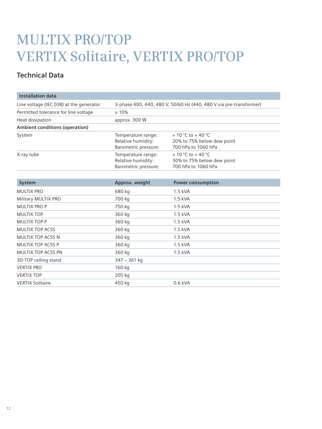| <b>Installation data</b>                |                                                                    |                                                                                       |  |
|-----------------------------------------|--------------------------------------------------------------------|---------------------------------------------------------------------------------------|--|
| Line voltage (IEC 038) at the generator | 3-phase 400, 440, 480 V, 50/60 Hz (440, 480 V via pre-transformer) |                                                                                       |  |
| Permitted tolerance for line voltage    | ±10%                                                               |                                                                                       |  |
| Heat dissipation                        | approx. 300 W                                                      |                                                                                       |  |
| Ambient conditions (operation)          |                                                                    |                                                                                       |  |
| System                                  | Temperature range:<br>Relative humidity:<br>Barometric pressure:   | $+10\degree$ C to $+40\degree$ C<br>20% to 75% below dew point<br>700 hPa to 1060 hPa |  |
| X-ray tube                              | Temperature range:<br>Relative humidity:<br>Barometric pressure:   | + 10 °C to + 40 °C<br>30% to 75% below dew point<br>700 hPa to 1060 hPa               |  |
| System                                  | Approx. weight                                                     | <b>Power consumption</b>                                                              |  |
| <b>MULTIX PRO</b>                       | 680 kg                                                             | 1.5 kVA                                                                               |  |
| Military MULTIX PRO                     | 700 kg                                                             | $1.5$ kVA                                                                             |  |
| <b>MULTIX PRO P</b>                     | 750 kg                                                             | 1.5 kVA                                                                               |  |
| <b>MULTIX TOP</b>                       | 360 kg                                                             | 1.5 kVA                                                                               |  |
| <b>MULTIX TOP P</b>                     | 360 kg                                                             | 1.5 kVA                                                                               |  |
| <b>MULTIX TOP ACSS</b>                  | 360 kg                                                             | 1.5 kVA                                                                               |  |
| <b>MULTIX TOP ACSS N</b>                | 360 kg                                                             | 1.5 kVA                                                                               |  |
| <b>MULTIX TOP ACSS P</b>                | 360 kg                                                             | $1.5$ kVA                                                                             |  |
| <b>MULTIX TOP ACSS PN</b>               | 360 kg                                                             | 1.5 kVA                                                                               |  |
| 3D-TOP ceiling stand                    | $347 - 361$ kg                                                     |                                                                                       |  |
| <b>VERTIX PRO</b>                       | 160 kg                                                             |                                                                                       |  |
| <b>VERTIX TOP</b>                       | 205 kg                                                             |                                                                                       |  |
| <b>VERTIX Solitaire</b>                 | 450 kg                                                             | $0.6$ kVA                                                                             |  |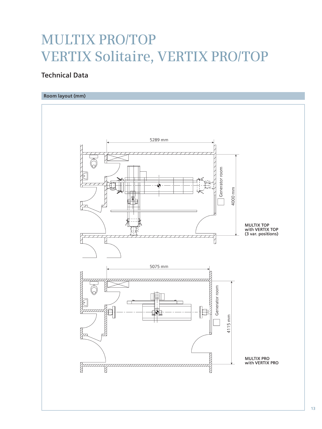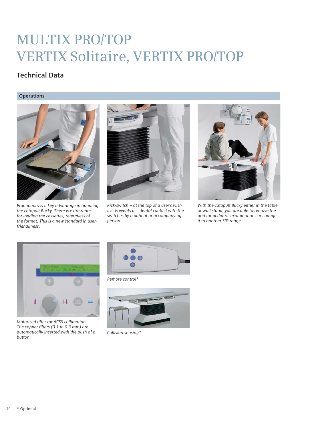### **Technical Data**

### **Operations**



*Ergonomics is a key advantage in handling the catapult Bucky. There is extra room for loading the cassettes, regardless of the format. This is a new standard in userfriendliness.*



*Kick-switch – at the top of a user's wish list. Prevents accidental contact with the switches by a patient or accompanying person.*



*With the catapult Bucky either in the table or wall stand, you are able to remove the grid for pediatric examinations or change it to another SID range.*



*Motorized filter for ACSS collimation. The copper filters (0.1 to 0.3 mm) are automatically inserted with the push of a button.*



*Remote control\** 



*Collision sensing\**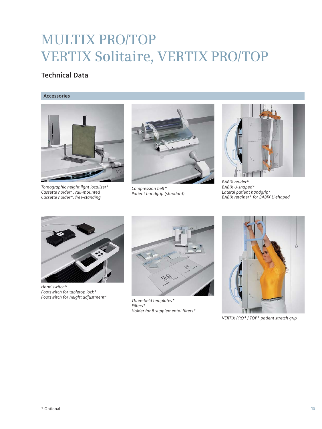### **Technical Data**

#### **Accessories**



*Tomographic height light localizer\* Cassette holder\*, rail-mounted Cassette holder\*, free-standing*



*Compression belt\* Patient handgrip (standard)*



*BABIX holder\* BABIX U-shaped\* Lateral patient handgrip\* BABIX retainer\* for BABIX U-shaped*



*Hand switch\* Footswitch for tabletop lock\* Footswitch for height adjustment\**



*Three-field templates\* Filters\* Holder for 8 supplemental filters\**



*VERTIX PRO\* / TOP\* patient stretch grip*